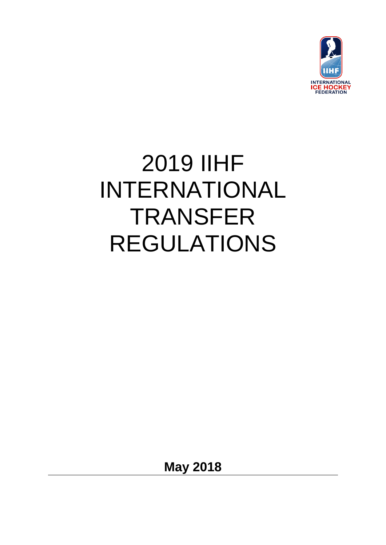

# 2019 IIHF INTERNATIONAL TRANSFER REGULATIONS

**May 2018**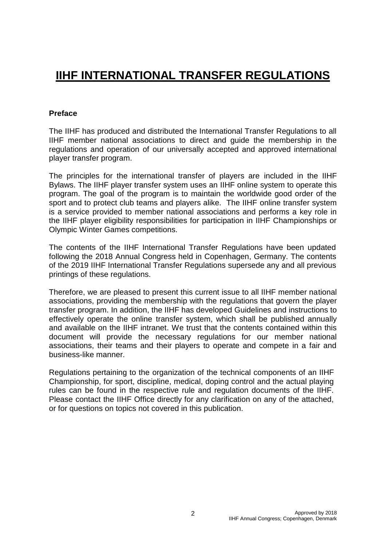# **IIHF INTERNATIONAL TRANSFER REGULATIONS**

#### **Preface**

The IIHF has produced and distributed the International Transfer Regulations to all IIHF member national associations to direct and guide the membership in the regulations and operation of our universally accepted and approved international player transfer program.

The principles for the international transfer of players are included in the IIHF Bylaws. The IIHF player transfer system uses an IIHF online system to operate this program. The goal of the program is to maintain the worldwide good order of the sport and to protect club teams and players alike. The IIHF online transfer system is a service provided to member national associations and performs a key role in the IIHF player eligibility responsibilities for participation in IIHF Championships or Olympic Winter Games competitions.

The contents of the IIHF International Transfer Regulations have been updated following the 2018 Annual Congress held in Copenhagen, Germany. The contents of the 2019 IIHF International Transfer Regulations supersede any and all previous printings of these regulations.

Therefore, we are pleased to present this current issue to all IIHF member national associations, providing the membership with the regulations that govern the player transfer program. In addition, the IIHF has developed Guidelines and instructions to effectively operate the online transfer system, which shall be published annually and available on the IIHF intranet. We trust that the contents contained within this document will provide the necessary regulations for our member national associations, their teams and their players to operate and compete in a fair and business-like manner.

Regulations pertaining to the organization of the technical components of an IIHF Championship, for sport, discipline, medical, doping control and the actual playing rules can be found in the respective rule and regulation documents of the IIHF. Please contact the IIHF Office directly for any clarification on any of the attached, or for questions on topics not covered in this publication.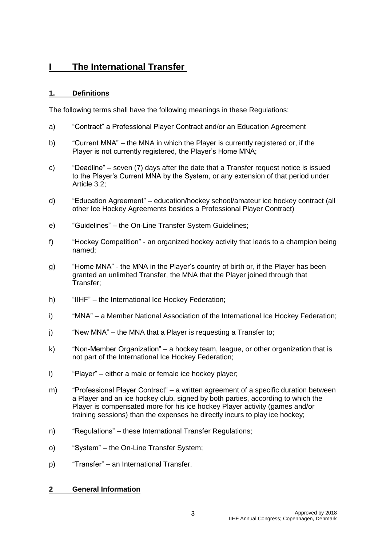# **I The International Transfer**

### **1. Definitions**

The following terms shall have the following meanings in these Regulations:

- a) "Contract" a Professional Player Contract and/or an Education Agreement
- b) "Current MNA" the MNA in which the Player is currently registered or, if the Player is not currently registered, the Player's Home MNA;
- c) "Deadline" seven (7) days after the date that a Transfer request notice is issued to the Player's Current MNA by the System, or any extension of that period under Article 3.2;
- d) "Education Agreement" education/hockey school/amateur ice hockey contract (all other Ice Hockey Agreements besides a Professional Player Contract)
- e) "Guidelines" the On-Line Transfer System Guidelines;
- f) "Hockey Competition" an organized hockey activity that leads to a champion being named;
- g) "Home MNA" the MNA in the Player's country of birth or, if the Player has been granted an unlimited Transfer, the MNA that the Player joined through that Transfer;
- h) "IIHF" the International Ice Hockey Federation;
- i) "MNA" a Member National Association of the International Ice Hockey Federation;
- j) "New MNA" the MNA that a Player is requesting a Transfer to;
- k) "Non-Member Organization" a hockey team, league, or other organization that is not part of the International Ice Hockey Federation;
- l) "Player" either a male or female ice hockey player;
- m) "Professional Player Contract" a written agreement of a specific duration between a Player and an ice hockey club, signed by both parties, according to which the Player is compensated more for his ice hockey Player activity (games and/or training sessions) than the expenses he directly incurs to play ice hockey;
- n) "Regulations" these International Transfer Regulations;
- o) "System" the On-Line Transfer System;
- p) "Transfer" an International Transfer.

#### **2 General Information**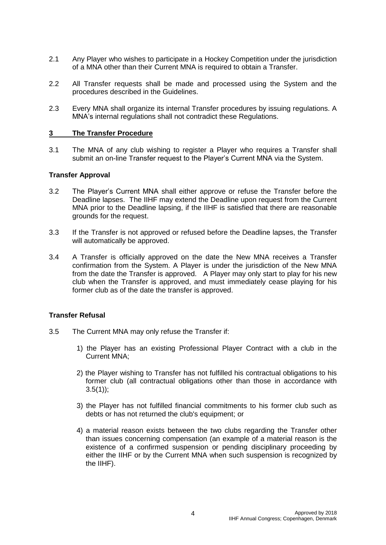- 2.1 Any Player who wishes to participate in a Hockey Competition under the jurisdiction of a MNA other than their Current MNA is required to obtain a Transfer.
- 2.2 All Transfer requests shall be made and processed using the System and the procedures described in the Guidelines.
- 2.3 Every MNA shall organize its internal Transfer procedures by issuing regulations. A MNA's internal regulations shall not contradict these Regulations.

#### **3 The Transfer Procedure**

3.1 The MNA of any club wishing to register a Player who requires a Transfer shall submit an on-line Transfer request to the Player's Current MNA via the System.

#### **Transfer Approval**

- 3.2 The Player's Current MNA shall either approve or refuse the Transfer before the Deadline lapses. The IIHF may extend the Deadline upon request from the Current MNA prior to the Deadline lapsing, if the IIHF is satisfied that there are reasonable grounds for the request.
- 3.3 If the Transfer is not approved or refused before the Deadline lapses, the Transfer will automatically be approved.
- 3.4 A Transfer is officially approved on the date the New MNA receives a Transfer confirmation from the System. A Player is under the jurisdiction of the New MNA from the date the Transfer is approved. A Player may only start to play for his new club when the Transfer is approved, and must immediately cease playing for his former club as of the date the transfer is approved.

#### **Transfer Refusal**

- 3.5 The Current MNA may only refuse the Transfer if:
	- 1) the Player has an existing Professional Player Contract with a club in the Current MNA;
	- 2) the Player wishing to Transfer has not fulfilled his contractual obligations to his former club (all contractual obligations other than those in accordance with  $3.5(1)$ ;
	- 3) the Player has not fulfilled financial commitments to his former club such as debts or has not returned the club's equipment; or
	- 4) a material reason exists between the two clubs regarding the Transfer other than issues concerning compensation (an example of a material reason is the existence of a confirmed suspension or pending disciplinary proceeding by either the IIHF or by the Current MNA when such suspension is recognized by the IIHF).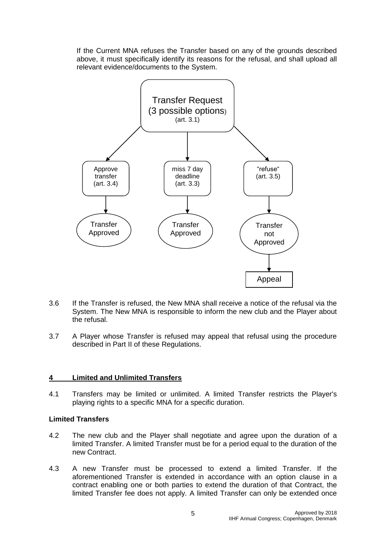If the Current MNA refuses the Transfer based on any of the grounds described above, it must specifically identify its reasons for the refusal, and shall upload all relevant evidence/documents to the System.



- 3.6 If the Transfer is refused, the New MNA shall receive a notice of the refusal via the System. The New MNA is responsible to inform the new club and the Player about the refusal.
- 3.7 A Player whose Transfer is refused may appeal that refusal using the procedure described in Part II of these Regulations.

#### **4 Limited and Unlimited Transfers**

4.1 Transfers may be limited or unlimited. A limited Transfer restricts the Player's playing rights to a specific MNA for a specific duration.

#### **Limited Transfers**

- 4.2 The new club and the Player shall negotiate and agree upon the duration of a limited Transfer. A limited Transfer must be for a period equal to the duration of the new Contract.
- 4.3 A new Transfer must be processed to extend a limited Transfer. If the aforementioned Transfer is extended in accordance with an option clause in a contract enabling one or both parties to extend the duration of that Contract, the limited Transfer fee does not apply. A limited Transfer can only be extended once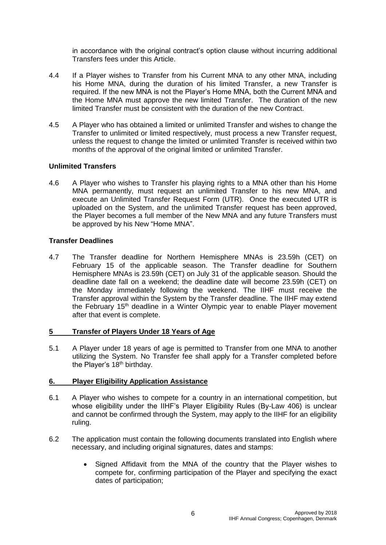in accordance with the original contract's option clause without incurring additional Transfers fees under this Article.

- 4.4 If a Player wishes to Transfer from his Current MNA to any other MNA, including his Home MNA, during the duration of his limited Transfer, a new Transfer is required. If the new MNA is not the Player's Home MNA, both the Current MNA and the Home MNA must approve the new limited Transfer. The duration of the new limited Transfer must be consistent with the duration of the new Contract.
- 4.5 A Player who has obtained a limited or unlimited Transfer and wishes to change the Transfer to unlimited or limited respectively, must process a new Transfer request, unless the request to change the limited or unlimited Transfer is received within two months of the approval of the original limited or unlimited Transfer.

#### **Unlimited Transfers**

4.6 A Player who wishes to Transfer his playing rights to a MNA other than his Home MNA permanently, must request an unlimited Transfer to his new MNA, and execute an Unlimited Transfer Request Form (UTR). Once the executed UTR is uploaded on the System, and the unlimited Transfer request has been approved, the Player becomes a full member of the New MNA and any future Transfers must be approved by his New "Home MNA".

#### **Transfer Deadlines**

4.7 The Transfer deadline for Northern Hemisphere MNAs is 23.59h (CET) on February 15 of the applicable season. The Transfer deadline for Southern Hemisphere MNAs is 23.59h (CET) on July 31 of the applicable season. Should the deadline date fall on a weekend; the deadline date will become 23.59h (CET) on the Monday immediately following the weekend. The IIHF must receive the Transfer approval within the System by the Transfer deadline. The IIHF may extend the February 15th deadline in a Winter Olympic year to enable Player movement after that event is complete.

#### **5 Transfer of Players Under 18 Years of Age**

5.1 A Player under 18 years of age is permitted to Transfer from one MNA to another utilizing the System. No Transfer fee shall apply for a Transfer completed before the Player's 18<sup>th</sup> birthday.

#### **6. Player Eligibility Application Assistance**

- 6.1 A Player who wishes to compete for a country in an international competition, but whose eligibility under the IIHF's Player Eligibility Rules (By-Law 406) is unclear and cannot be confirmed through the System, may apply to the IIHF for an eligibility ruling.
- 6.2 The application must contain the following documents translated into English where necessary, and including original signatures, dates and stamps:
	- Signed Affidavit from the MNA of the country that the Player wishes to compete for, confirming participation of the Player and specifying the exact dates of participation;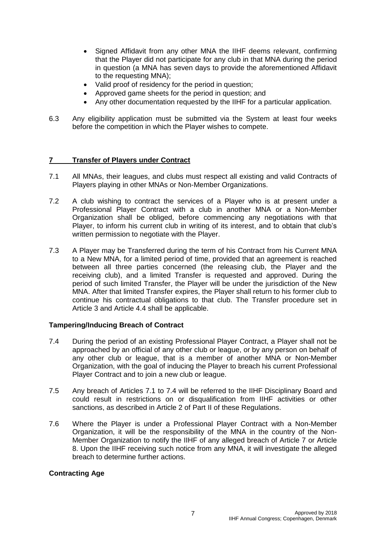- Signed Affidavit from any other MNA the IIHF deems relevant, confirming that the Player did not participate for any club in that MNA during the period in question (a MNA has seven days to provide the aforementioned Affidavit to the requesting MNA);
- Valid proof of residency for the period in question;
- Approved game sheets for the period in question; and
- Any other documentation requested by the IIHF for a particular application.
- 6.3 Any eligibility application must be submitted via the System at least four weeks before the competition in which the Player wishes to compete.

#### **7 Transfer of Players under Contract**

- 7.1 All MNAs, their leagues, and clubs must respect all existing and valid Contracts of Players playing in other MNAs or Non-Member Organizations.
- 7.2 A club wishing to contract the services of a Player who is at present under a Professional Player Contract with a club in another MNA or a Non-Member Organization shall be obliged, before commencing any negotiations with that Player, to inform his current club in writing of its interest, and to obtain that club's written permission to negotiate with the Player.
- 7.3 A Player may be Transferred during the term of his Contract from his Current MNA to a New MNA, for a limited period of time, provided that an agreement is reached between all three parties concerned (the releasing club, the Player and the receiving club), and a limited Transfer is requested and approved. During the period of such limited Transfer, the Player will be under the jurisdiction of the New MNA. After that limited Transfer expires, the Player shall return to his former club to continue his contractual obligations to that club. The Transfer procedure set in Article 3 and Article 4.4 shall be applicable.

#### **Tampering/Inducing Breach of Contract**

- 7.4 During the period of an existing Professional Player Contract, a Player shall not be approached by an official of any other club or league, or by any person on behalf of any other club or league, that is a member of another MNA or Non-Member Organization, with the goal of inducing the Player to breach his current Professional Player Contract and to join a new club or league.
- 7.5 Any breach of Articles 7.1 to 7.4 will be referred to the IIHF Disciplinary Board and could result in restrictions on or disqualification from IIHF activities or other sanctions, as described in Article 2 of Part II of these Regulations.
- 7.6 Where the Player is under a Professional Player Contract with a Non-Member Organization, it will be the responsibility of the MNA in the country of the Non-Member Organization to notify the IIHF of any alleged breach of Article 7 or Article 8. Upon the IIHF receiving such notice from any MNA, it will investigate the alleged breach to determine further actions.

#### **Contracting Age**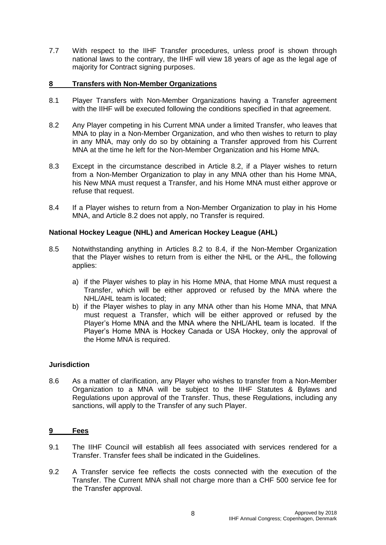7.7 With respect to the IIHF Transfer procedures, unless proof is shown through national laws to the contrary, the IIHF will view 18 years of age as the legal age of majority for Contract signing purposes.

#### **8 Transfers with Non-Member Organizations**

- 8.1 Player Transfers with Non-Member Organizations having a Transfer agreement with the IIHF will be executed following the conditions specified in that agreement.
- 8.2 Any Player competing in his Current MNA under a limited Transfer, who leaves that MNA to play in a Non-Member Organization, and who then wishes to return to play in any MNA, may only do so by obtaining a Transfer approved from his Current MNA at the time he left for the Non-Member Organization and his Home MNA.
- 8.3 Except in the circumstance described in Article 8.2, if a Player wishes to return from a Non-Member Organization to play in any MNA other than his Home MNA, his New MNA must request a Transfer, and his Home MNA must either approve or refuse that request.
- 8.4 If a Player wishes to return from a Non-Member Organization to play in his Home MNA, and Article 8.2 does not apply, no Transfer is required.

#### **National Hockey League (NHL) and American Hockey League (AHL)**

- 8.5 Notwithstanding anything in Articles 8.2 to 8.4, if the Non-Member Organization that the Player wishes to return from is either the NHL or the AHL, the following applies:
	- a) if the Player wishes to play in his Home MNA, that Home MNA must request a Transfer, which will be either approved or refused by the MNA where the NHL/AHL team is located;
	- b) if the Player wishes to play in any MNA other than his Home MNA, that MNA must request a Transfer, which will be either approved or refused by the Player's Home MNA and the MNA where the NHL/AHL team is located. If the Player's Home MNA is Hockey Canada or USA Hockey, only the approval of the Home MNA is required.

#### **Jurisdiction**

8.6 As a matter of clarification, any Player who wishes to transfer from a Non-Member Organization to a MNA will be subject to the IIHF Statutes & Bylaws and Regulations upon approval of the Transfer. Thus, these Regulations, including any sanctions, will apply to the Transfer of any such Player.

#### **9 Fees**

- 9.1 The IIHF Council will establish all fees associated with services rendered for a Transfer. Transfer fees shall be indicated in the Guidelines.
- 9.2 A Transfer service fee reflects the costs connected with the execution of the Transfer. The Current MNA shall not charge more than a CHF 500 service fee for the Transfer approval.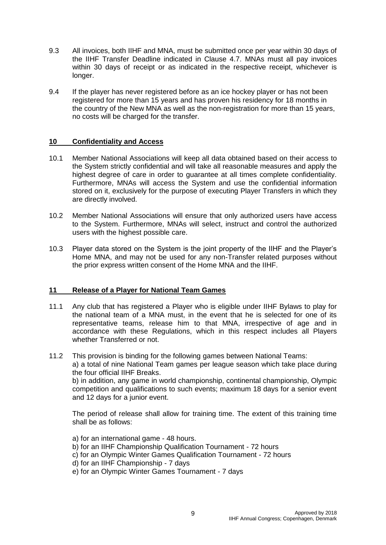- 9.3 All invoices, both IIHF and MNA, must be submitted once per year within 30 days of the IIHF Transfer Deadline indicated in Clause 4.7. MNAs must all pay invoices within 30 days of receipt or as indicated in the respective receipt, whichever is longer.
- 9.4 If the player has never registered before as an ice hockey player or has not been registered for more than 15 years and has proven his residency for 18 months in the country of the New MNA as well as the non-registration for more than 15 years, no costs will be charged for the transfer.

#### **10 Confidentiality and Access**

- 10.1 Member National Associations will keep all data obtained based on their access to the System strictly confidential and will take all reasonable measures and apply the highest degree of care in order to guarantee at all times complete confidentiality. Furthermore, MNAs will access the System and use the confidential information stored on it, exclusively for the purpose of executing Player Transfers in which they are directly involved.
- 10.2 Member National Associations will ensure that only authorized users have access to the System. Furthermore, MNAs will select, instruct and control the authorized users with the highest possible care.
- 10.3 Player data stored on the System is the joint property of the IIHF and the Player's Home MNA, and may not be used for any non-Transfer related purposes without the prior express written consent of the Home MNA and the IIHF.

#### **11 Release of a Player for National Team Games**

- 11.1 Any club that has registered a Player who is eligible under IIHF Bylaws to play for the national team of a MNA must, in the event that he is selected for one of its representative teams, release him to that MNA, irrespective of age and in accordance with these Regulations, which in this respect includes all Players whether Transferred or not.
- 11.2 This provision is binding for the following games between National Teams:

a) a total of nine National Team games per league season which take place during the four official IIHF Breaks.

b) in addition, any game in world championship, continental championship, Olympic competition and qualifications to such events; maximum 18 days for a senior event and 12 days for a junior event.

The period of release shall allow for training time. The extent of this training time shall be as follows:

a) for an international game - 48 hours.

- b) for an IIHF Championship Qualification Tournament 72 hours
- c) for an Olympic Winter Games Qualification Tournament 72 hours
- d) for an IIHF Championship 7 days
- e) for an Olympic Winter Games Tournament 7 days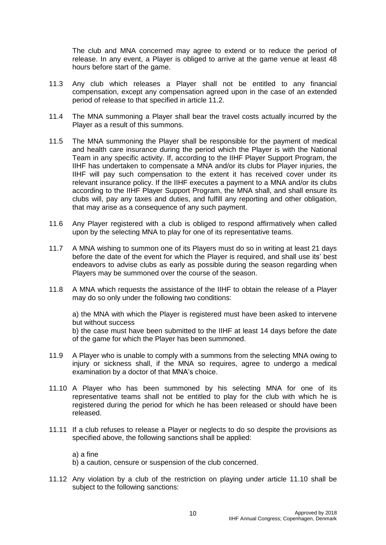The club and MNA concerned may agree to extend or to reduce the period of release. In any event, a Player is obliged to arrive at the game venue at least 48 hours before start of the game.

- 11.3 Any club which releases a Player shall not be entitled to any financial compensation, except any compensation agreed upon in the case of an extended period of release to that specified in article 11.2.
- 11.4 The MNA summoning a Player shall bear the travel costs actually incurred by the Player as a result of this summons.
- 11.5 The MNA summoning the Player shall be responsible for the payment of medical and health care insurance during the period which the Player is with the National Team in any specific activity. If, according to the IIHF Player Support Program, the IIHF has undertaken to compensate a MNA and/or its clubs for Player injuries, the IIHF will pay such compensation to the extent it has received cover under its relevant insurance policy. If the IIHF executes a payment to a MNA and/or its clubs according to the IIHF Player Support Program, the MNA shall, and shall ensure its clubs will, pay any taxes and duties, and fulfill any reporting and other obligation, that may arise as a consequence of any such payment.
- 11.6 Any Player registered with a club is obliged to respond affirmatively when called upon by the selecting MNA to play for one of its representative teams.
- 11.7 A MNA wishing to summon one of its Players must do so in writing at least 21 days before the date of the event for which the Player is required, and shall use its' best endeavors to advise clubs as early as possible during the season regarding when Players may be summoned over the course of the season.
- 11.8 A MNA which requests the assistance of the IIHF to obtain the release of a Player may do so only under the following two conditions:

a) the MNA with which the Player is registered must have been asked to intervene but without success

b) the case must have been submitted to the IIHF at least 14 days before the date of the game for which the Player has been summoned.

- 11.9 A Player who is unable to comply with a summons from the selecting MNA owing to injury or sickness shall, if the MNA so requires, agree to undergo a medical examination by a doctor of that MNA's choice.
- 11.10 A Player who has been summoned by his selecting MNA for one of its representative teams shall not be entitled to play for the club with which he is registered during the period for which he has been released or should have been released.
- 11.11 If a club refuses to release a Player or neglects to do so despite the provisions as specified above, the following sanctions shall be applied:

a) a fine

b) a caution, censure or suspension of the club concerned.

11.12 Any violation by a club of the restriction on playing under article 11.10 shall be subject to the following sanctions: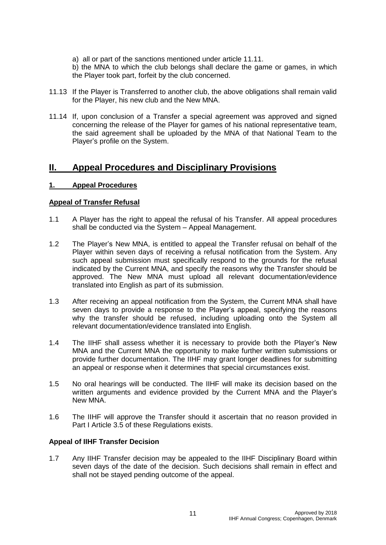a) all or part of the sanctions mentioned under article 11.11.

b) the MNA to which the club belongs shall declare the game or games, in which the Player took part, forfeit by the club concerned.

- 11.13 If the Player is Transferred to another club, the above obligations shall remain valid for the Player, his new club and the New MNA.
- 11.14 If, upon conclusion of a Transfer a special agreement was approved and signed concerning the release of the Player for games of his national representative team, the said agreement shall be uploaded by the MNA of that National Team to the Player's profile on the System.

# **II. Appeal Procedures and Disciplinary Provisions**

#### **1. Appeal Procedures**

#### **Appeal of Transfer Refusal**

- 1.1 A Player has the right to appeal the refusal of his Transfer. All appeal procedures shall be conducted via the System – Appeal Management.
- 1.2 The Player's New MNA, is entitled to appeal the Transfer refusal on behalf of the Player within seven days of receiving a refusal notification from the System. Any such appeal submission must specifically respond to the grounds for the refusal indicated by the Current MNA, and specify the reasons why the Transfer should be approved. The New MNA must upload all relevant documentation/evidence translated into English as part of its submission.
- 1.3 After receiving an appeal notification from the System, the Current MNA shall have seven days to provide a response to the Player's appeal, specifying the reasons why the transfer should be refused, including uploading onto the System all relevant documentation/evidence translated into English.
- 1.4 The IIHF shall assess whether it is necessary to provide both the Player's New MNA and the Current MNA the opportunity to make further written submissions or provide further documentation. The IIHF may grant longer deadlines for submitting an appeal or response when it determines that special circumstances exist.
- 1.5 No oral hearings will be conducted. The IIHF will make its decision based on the written arguments and evidence provided by the Current MNA and the Player's New MNA.
- 1.6 The IIHF will approve the Transfer should it ascertain that no reason provided in Part I Article 3.5 of these Regulations exists.

#### **Appeal of IIHF Transfer Decision**

1.7 Any IIHF Transfer decision may be appealed to the IIHF Disciplinary Board within seven days of the date of the decision. Such decisions shall remain in effect and shall not be stayed pending outcome of the appeal.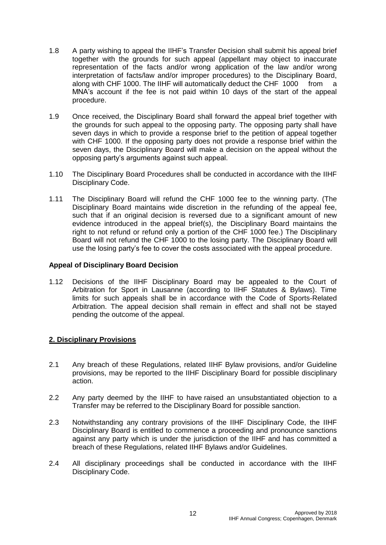- 1.8 A party wishing to appeal the IIHF's Transfer Decision shall submit his appeal brief together with the grounds for such appeal (appellant may object to inaccurate representation of the facts and/or wrong application of the law and/or wrong interpretation of facts/law and/or improper procedures) to the Disciplinary Board, along with CHF 1000. The IIHF will automatically deduct the CHF 1000 from a MNA's account if the fee is not paid within 10 days of the start of the appeal procedure.
- 1.9 Once received, the Disciplinary Board shall forward the appeal brief together with the grounds for such appeal to the opposing party. The opposing party shall have seven days in which to provide a response brief to the petition of appeal together with CHF 1000. If the opposing party does not provide a response brief within the seven days, the Disciplinary Board will make a decision on the appeal without the opposing party's arguments against such appeal.
- 1.10 The Disciplinary Board Procedures shall be conducted in accordance with the IIHF Disciplinary Code.
- 1.11 The Disciplinary Board will refund the CHF 1000 fee to the winning party. (The Disciplinary Board maintains wide discretion in the refunding of the appeal fee, such that if an original decision is reversed due to a significant amount of new evidence introduced in the appeal brief(s), the Disciplinary Board maintains the right to not refund or refund only a portion of the CHF 1000 fee.) The Disciplinary Board will not refund the CHF 1000 to the losing party. The Disciplinary Board will use the losing party's fee to cover the costs associated with the appeal procedure.

#### **Appeal of Disciplinary Board Decision**

1.12 Decisions of the IIHF Disciplinary Board may be appealed to the Court of Arbitration for Sport in Lausanne (according to IIHF Statutes & Bylaws). Time limits for such appeals shall be in accordance with the Code of Sports-Related Arbitration. The appeal decision shall remain in effect and shall not be stayed pending the outcome of the appeal.

#### **2. Disciplinary Provisions**

- 2.1 Any breach of these Regulations, related IIHF Bylaw provisions, and/or Guideline provisions, may be reported to the IIHF Disciplinary Board for possible disciplinary action.
- 2.2 Any party deemed by the IIHF to have raised an unsubstantiated objection to a Transfer may be referred to the Disciplinary Board for possible sanction.
- 2.3 Notwithstanding any contrary provisions of the IIHF Disciplinary Code, the IIHF Disciplinary Board is entitled to commence a proceeding and pronounce sanctions against any party which is under the jurisdiction of the IIHF and has committed a breach of these Regulations, related IIHF Bylaws and/or Guidelines.
- 2.4 All disciplinary proceedings shall be conducted in accordance with the IIHF Disciplinary Code.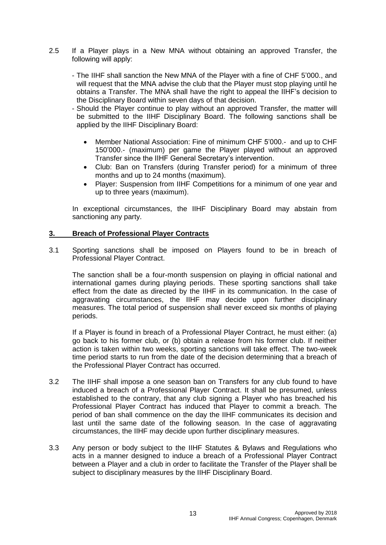- 2.5 If a Player plays in a New MNA without obtaining an approved Transfer, the following will apply:
	- The IIHF shall sanction the New MNA of the Player with a fine of CHF 5'000., and will request that the MNA advise the club that the Player must stop playing until he obtains a Transfer. The MNA shall have the right to appeal the IIHF's decision to the Disciplinary Board within seven days of that decision.
	- Should the Player continue to play without an approved Transfer, the matter will be submitted to the IIHF Disciplinary Board. The following sanctions shall be applied by the IIHF Disciplinary Board:
		- Member National Association: Fine of minimum CHF 5'000.- and up to CHF 150'000.- (maximum) per game the Player played without an approved Transfer since the IIHF General Secretary's intervention.
		- Club: Ban on Transfers (during Transfer period) for a minimum of three months and up to 24 months (maximum).
		- Player: Suspension from IIHF Competitions for a minimum of one year and up to three years (maximum).

In exceptional circumstances, the IIHF Disciplinary Board may abstain from sanctioning any party.

#### **3. Breach of Professional Player Contracts**

3.1 Sporting sanctions shall be imposed on Players found to be in breach of Professional Player Contract.

The sanction shall be a four-month suspension on playing in official national and international games during playing periods. These sporting sanctions shall take effect from the date as directed by the IIHF in its communication. In the case of aggravating circumstances, the IIHF may decide upon further disciplinary measures. The total period of suspension shall never exceed six months of playing periods.

If a Player is found in breach of a Professional Player Contract, he must either: (a) go back to his former club, or (b) obtain a release from his former club. If neither action is taken within two weeks, sporting sanctions will take effect. The two-week time period starts to run from the date of the decision determining that a breach of the Professional Player Contract has occurred.

- 3.2 The IIHF shall impose a one season ban on Transfers for any club found to have induced a breach of a Professional Player Contract. It shall be presumed, unless established to the contrary, that any club signing a Player who has breached his Professional Player Contract has induced that Player to commit a breach. The period of ban shall commence on the day the IIHF communicates its decision and last until the same date of the following season. In the case of aggravating circumstances, the IIHF may decide upon further disciplinary measures.
- 3.3 Any person or body subject to the IIHF Statutes & Bylaws and Regulations who acts in a manner designed to induce a breach of a Professional Player Contract between a Player and a club in order to facilitate the Transfer of the Player shall be subject to disciplinary measures by the IIHF Disciplinary Board.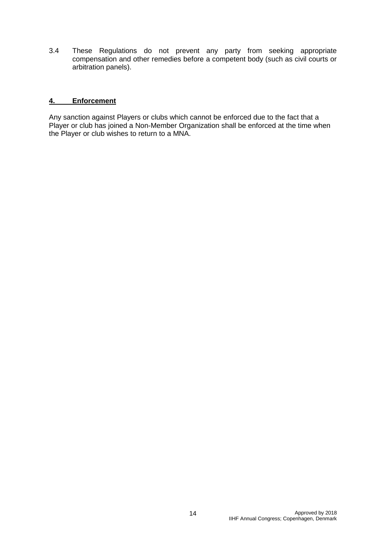3.4 These Regulations do not prevent any party from seeking appropriate compensation and other remedies before a competent body (such as civil courts or arbitration panels).

#### **4. Enforcement**

Any sanction against Players or clubs which cannot be enforced due to the fact that a Player or club has joined a Non-Member Organization shall be enforced at the time when the Player or club wishes to return to a MNA.